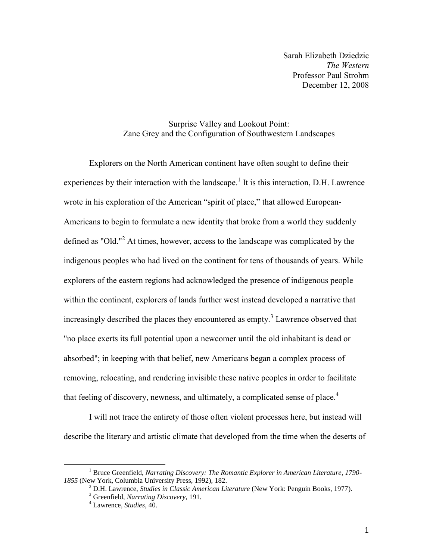Sarah Elizabeth Dziedzic *The Western* Professor Paul Strohm December 12, 2008

## Surprise Valley and Lookout Point: Zane Grey and the Configuration of Southwestern Landscapes

Explorers on the North American continent have often sought to define their experiences by their interaction with the landscape.<sup>1</sup> It is this interaction, D.H. Lawrence wrote in his exploration of the American "spirit of place," that allowed European-Americans to begin to formulate a new identity that broke from a world they suddenly defined as "Old."<sup>2</sup> At times, however, access to the landscape was complicated by the indigenous peoples who had lived on the continent for tens of thousands of years. While explorers of the eastern regions had acknowledged the presence of indigenous people within the continent, explorers of lands further west instead developed a narrative that increasingly described the places they encountered as empty.<sup>3</sup> Lawrence observed that "no place exerts its full potential upon a newcomer until the old inhabitant is dead or absorbed"; in keeping with that belief, new Americans began a complex process of removing, relocating, and rendering invisible these native peoples in order to facilitate that feeling of discovery, newness, and ultimately, a complicated sense of place.<sup>4</sup>

I will not trace the entirety of those often violent processes here, but instead will describe the literary and artistic climate that developed from the time when the deserts of

<sup>1</sup> Bruce Greenfield, *Narrating Discovery: The Romantic Explorer in American Literature, 1790- 1855* (New York, Columbia University Press, 1992), 182.

<sup>2</sup> D.H. Lawrence, *Studies in Classic American Literature* (New York: Penguin Books, 1977).

<sup>3</sup> Greenfield, *Narrating Discovery*, 191.

<sup>4</sup> Lawrence, *Studies*, 40.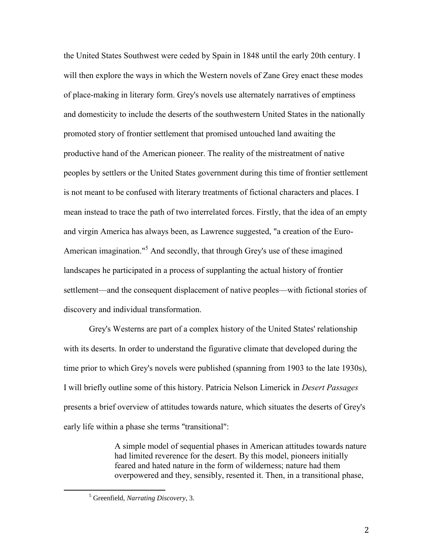the United States Southwest were ceded by Spain in 1848 until the early 20th century. I will then explore the ways in which the Western novels of Zane Grey enact these modes of place-making in literary form. Grey's novels use alternately narratives of emptiness and domesticity to include the deserts of the southwestern United States in the nationally promoted story of frontier settlement that promised untouched land awaiting the productive hand of the American pioneer. The reality of the mistreatment of native peoples by settlers or the United States government during this time of frontier settlement is not meant to be confused with literary treatments of fictional characters and places. I mean instead to trace the path of two interrelated forces. Firstly, that the idea of an empty and virgin America has always been, as Lawrence suggested, "a creation of the Euro-American imagination."<sup>5</sup> And secondly, that through Grey's use of these imagined landscapes he participated in a process of supplanting the actual history of frontier settlement—and the consequent displacement of native peoples—with fictional stories of discovery and individual transformation.

Grey's Westerns are part of a complex history of the United States' relationship with its deserts. In order to understand the figurative climate that developed during the time prior to which Grey's novels were published (spanning from 1903 to the late 1930s), I will briefly outline some of this history. Patricia Nelson Limerick in *Desert Passages* presents a brief overview of attitudes towards nature, which situates the deserts of Grey's early life within a phase she terms "transitional":

> A simple model of sequential phases in American attitudes towards nature had limited reverence for the desert. By this model, pioneers initially feared and hated nature in the form of wilderness; nature had them overpowered and they, sensibly, resented it. Then, in a transitional phase,

<sup>5</sup> Greenfield, *Narrating Discovery*, 3.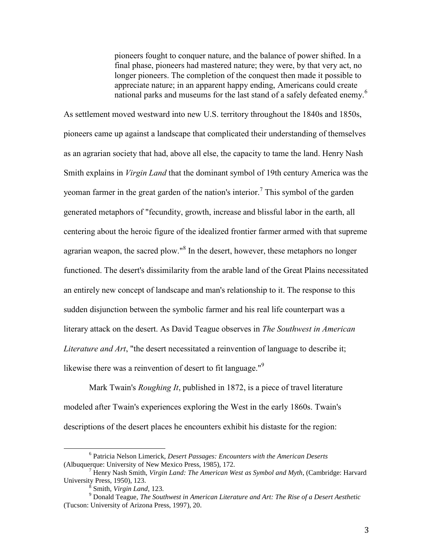pioneers fought to conquer nature, and the balance of power shifted. In a final phase, pioneers had mastered nature; they were, by that very act, no longer pioneers. The completion of the conquest then made it possible to appreciate nature; in an apparent happy ending, Americans could create national parks and museums for the last stand of a safely defeated enemy.<sup>6</sup>

As settlement moved westward into new U.S. territory throughout the 1840s and 1850s, pioneers came up against a landscape that complicated their understanding of themselves as an agrarian society that had, above all else, the capacity to tame the land. Henry Nash Smith explains in *Virgin Land* that the dominant symbol of 19th century America was the yeoman farmer in the great garden of the nation's interior.<sup>7</sup> This symbol of the garden generated metaphors of "fecundity, growth, increase and blissful labor in the earth, all centering about the heroic figure of the idealized frontier farmer armed with that supreme agrarian weapon, the sacred plow."<sup>8</sup> In the desert, however, these metaphors no longer functioned. The desert's dissimilarity from the arable land of the Great Plains necessitated an entirely new concept of landscape and man's relationship to it. The response to this sudden disjunction between the symbolic farmer and his real life counterpart was a literary attack on the desert. As David Teague observes in *The Southwest in American Literature and Art*, "the desert necessitated a reinvention of language to describe it; likewise there was a reinvention of desert to fit language. $^{\prime\prime}$ <sup>9</sup>

Mark Twain's *Roughing It*, published in 1872, is a piece of travel literature modeled after Twain's experiences exploring the West in the early 1860s. Twain's descriptions of the desert places he encounters exhibit his distaste for the region:

<sup>6</sup> Patricia Nelson Limerick, *Desert Passages: Encounters with the American Deserts* (Albuquerque: University of New Mexico Press, 1985), 172.

<sup>7</sup> Henry Nash Smith, *Virgin Land: The American West as Symbol and Myth*, (Cambridge: Harvard University Press, 1950), 123.

<sup>8</sup> Smith, *Virgin Land*, 123.

<sup>9</sup> Donald Teague, *The Southwest in American Literature and Art: The Rise of a Desert Aesthetic* (Tucson: University of Arizona Press, 1997), 20.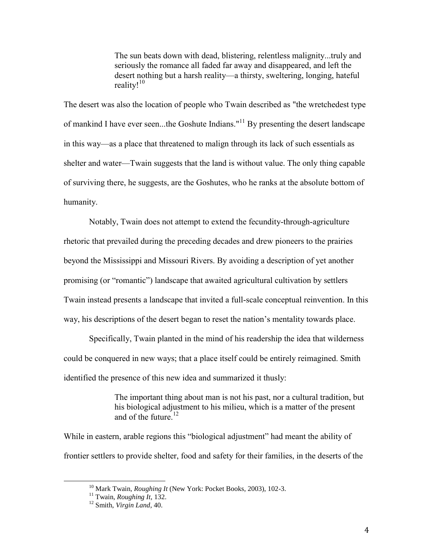The sun beats down with dead, blistering, relentless malignity...truly and seriously the romance all faded far away and disappeared, and left the desert nothing but a harsh reality—a thirsty, sweltering, longing, hateful reality!<sup>10</sup>

The desert was also the location of people who Twain described as "the wretchedest type of mankind I have ever seen...the Goshute Indians."<sup>11</sup> By presenting the desert landscape in this way—as a place that threatened to malign through its lack of such essentials as shelter and water—Twain suggests that the land is without value. The only thing capable of surviving there, he suggests, are the Goshutes, who he ranks at the absolute bottom of humanity.

Notably, Twain does not attempt to extend the fecundity-through-agriculture rhetoric that prevailed during the preceding decades and drew pioneers to the prairies beyond the Mississippi and Missouri Rivers. By avoiding a description of yet another promising (or "romantic") landscape that awaited agricultural cultivation by settlers Twain instead presents a landscape that invited a full-scale conceptual reinvention. In this way, his descriptions of the desert began to reset the nation"s mentality towards place.

Specifically, Twain planted in the mind of his readership the idea that wilderness could be conquered in new ways; that a place itself could be entirely reimagined. Smith identified the presence of this new idea and summarized it thusly:

> The important thing about man is not his past, nor a cultural tradition, but his biological adjustment to his milieu, which is a matter of the present and of the future.<sup>12</sup>

While in eastern, arable regions this "biological adjustment" had meant the ability of frontier settlers to provide shelter, food and safety for their families, in the deserts of the

<sup>10</sup> Mark Twain, *Roughing It* (New York: Pocket Books, 2003), 102-3.

<sup>11</sup> Twain, *Roughing It*, 132.

<sup>12</sup> Smith, *Virgin Land*, 40.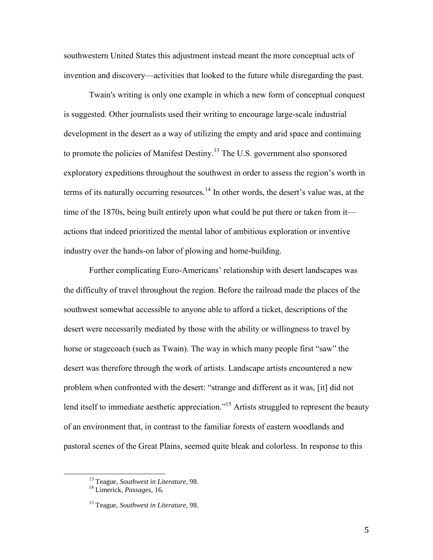southwestern United States this adjustment instead meant the more conceptual acts of invention and discovery—activities that looked to the future while disregarding the past.

Twain's writing is only one example in which a new form of conceptual conquest is suggested. Other journalists used their writing to encourage large-scale industrial development in the desert as a way of utilizing the empty and arid space and continuing to promote the policies of Manifest Destiny.<sup>13</sup> The U.S. government also sponsored exploratory expeditions throughout the southwest in order to assess the region's worth in terms of its naturally occurring resources.<sup>14</sup> In other words, the desert's value was, at the time of the 1870s, being built entirely upon what could be put there or taken from it actions that indeed prioritized the mental labor of ambitious exploration or inventive industry over the hands-on labor of plowing and home-building.

Further complicating Euro-Americans' relationship with desert landscapes was the difficulty of travel throughout the region. Before the railroad made the places of the southwest somewhat accessible to anyone able to afford a ticket, descriptions of the desert were necessarily mediated by those with the ability or willingness to travel by horse or stagecoach (such as Twain). The way in which many people first "saw" the desert was therefore through the work of artists. Landscape artists encountered a new problem when confronted with the desert: "strange and different as it was, [it] did not lend itself to immediate aesthetic appreciation."<sup>15</sup> Artists struggled to represent the beauty of an environment that, in contrast to the familiar forests of eastern woodlands and pastoral scenes of the Great Plains, seemed quite bleak and colorless. In response to this

<sup>13</sup> Teague, *Southwest in Literature*, 98.

<sup>14</sup> Limerick, *Passages*, 16.

<sup>15</sup> Teague, *Southwest in Literature*, 98.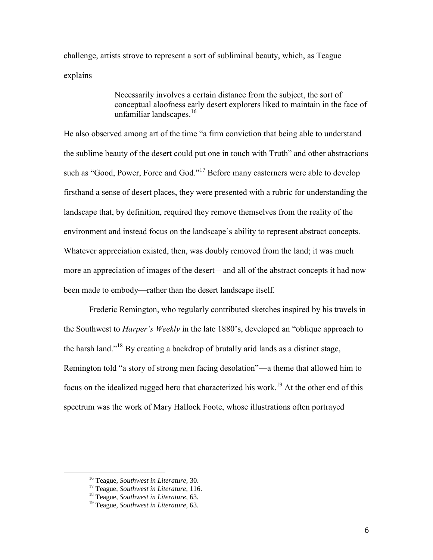challenge, artists strove to represent a sort of subliminal beauty, which, as Teague explains

> Necessarily involves a certain distance from the subject, the sort of conceptual aloofness early desert explorers liked to maintain in the face of unfamiliar landscapes. 16

He also observed among art of the time "a firm conviction that being able to understand the sublime beauty of the desert could put one in touch with Truth" and other abstractions such as "Good, Power, Force and God."<sup>17</sup> Before many easterners were able to develop firsthand a sense of desert places, they were presented with a rubric for understanding the landscape that, by definition, required they remove themselves from the reality of the environment and instead focus on the landscape"s ability to represent abstract concepts. Whatever appreciation existed, then, was doubly removed from the land; it was much more an appreciation of images of the desert—and all of the abstract concepts it had now been made to embody—rather than the desert landscape itself.

Frederic Remington, who regularly contributed sketches inspired by his travels in the Southwest to *Harper's Weekly* in the late 1880"s, developed an "oblique approach to the harsh land."<sup>18</sup> By creating a backdrop of brutally arid lands as a distinct stage, Remington told "a story of strong men facing desolation"—a theme that allowed him to focus on the idealized rugged hero that characterized his work.<sup>19</sup> At the other end of this spectrum was the work of Mary Hallock Foote, whose illustrations often portrayed

<sup>16</sup> Teague, *Southwest in Literature*, 30.

<sup>17</sup> Teague, *Southwest in Literature*, 116.

<sup>18</sup> Teague, *Southwest in Literature*, 63.

<sup>19</sup> Teague, *Southwest in Literature*, 63.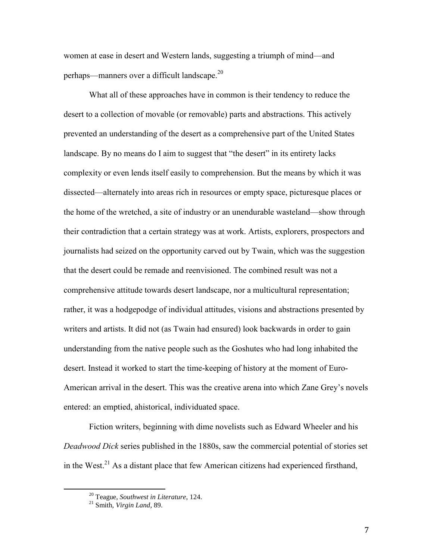women at ease in desert and Western lands, suggesting a triumph of mind—and perhaps—manners over a difficult landscape.<sup>20</sup>

What all of these approaches have in common is their tendency to reduce the desert to a collection of movable (or removable) parts and abstractions. This actively prevented an understanding of the desert as a comprehensive part of the United States landscape. By no means do I aim to suggest that "the desert" in its entirety lacks complexity or even lends itself easily to comprehension. But the means by which it was dissected—alternately into areas rich in resources or empty space, picturesque places or the home of the wretched, a site of industry or an unendurable wasteland—show through their contradiction that a certain strategy was at work. Artists, explorers, prospectors and journalists had seized on the opportunity carved out by Twain, which was the suggestion that the desert could be remade and reenvisioned. The combined result was not a comprehensive attitude towards desert landscape, nor a multicultural representation; rather, it was a hodgepodge of individual attitudes, visions and abstractions presented by writers and artists. It did not (as Twain had ensured) look backwards in order to gain understanding from the native people such as the Goshutes who had long inhabited the desert. Instead it worked to start the time-keeping of history at the moment of Euro-American arrival in the desert. This was the creative arena into which Zane Grey"s novels entered: an emptied, ahistorical, individuated space.

Fiction writers, beginning with dime novelists such as Edward Wheeler and his *Deadwood Dick* series published in the 1880s, saw the commercial potential of stories set in the West.<sup>21</sup> As a distant place that few American citizens had experienced firsthand,

<sup>20</sup> Teague, *Southwest in Literature*, 124.

<sup>21</sup> Smith, *Virgin Land*, 89.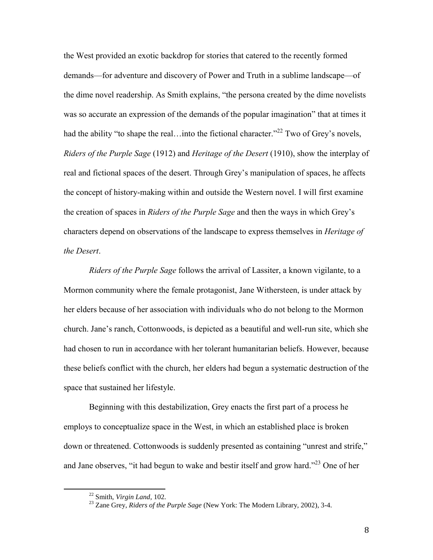the West provided an exotic backdrop for stories that catered to the recently formed demands—for adventure and discovery of Power and Truth in a sublime landscape—of the dime novel readership. As Smith explains, "the persona created by the dime novelists was so accurate an expression of the demands of the popular imagination" that at times it had the ability "to shape the real... into the fictional character."<sup>22</sup> Two of Grey's novels, *Riders of the Purple Sage* (1912) and *Heritage of the Desert* (1910), show the interplay of real and fictional spaces of the desert. Through Grey"s manipulation of spaces, he affects the concept of history-making within and outside the Western novel. I will first examine the creation of spaces in *Riders of the Purple Sage* and then the ways in which Grey"s characters depend on observations of the landscape to express themselves in *Heritage of the Desert*.

*Riders of the Purple Sage* follows the arrival of Lassiter, a known vigilante, to a Mormon community where the female protagonist, Jane Withersteen, is under attack by her elders because of her association with individuals who do not belong to the Mormon church. Jane"s ranch, Cottonwoods, is depicted as a beautiful and well-run site, which she had chosen to run in accordance with her tolerant humanitarian beliefs. However, because these beliefs conflict with the church, her elders had begun a systematic destruction of the space that sustained her lifestyle.

Beginning with this destabilization, Grey enacts the first part of a process he employs to conceptualize space in the West, in which an established place is broken down or threatened. Cottonwoods is suddenly presented as containing "unrest and strife," and Jane observes, "it had begun to wake and bestir itself and grow hard."<sup>23</sup> One of her

<sup>22</sup> Smith, *Virgin Land*, 102.

<sup>23</sup> Zane Grey, *Riders of the Purple Sage* (New York: The Modern Library, 2002), 3-4.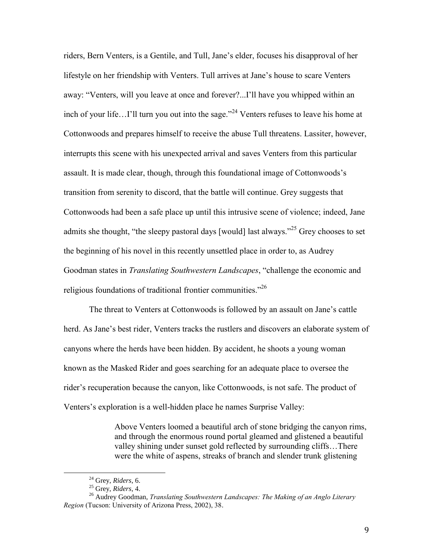riders, Bern Venters, is a Gentile, and Tull, Jane"s elder, focuses his disapproval of her lifestyle on her friendship with Venters. Tull arrives at Jane"s house to scare Venters away: "Venters, will you leave at once and forever?...I"ll have you whipped within an inch of your life…I'll turn you out into the sage."<sup>24</sup> Venters refuses to leave his home at Cottonwoods and prepares himself to receive the abuse Tull threatens. Lassiter, however, interrupts this scene with his unexpected arrival and saves Venters from this particular assault. It is made clear, though, through this foundational image of Cottonwoods"s transition from serenity to discord, that the battle will continue. Grey suggests that Cottonwoods had been a safe place up until this intrusive scene of violence; indeed, Jane admits she thought, "the sleepy pastoral days [would] last always."<sup>25</sup> Grey chooses to set the beginning of his novel in this recently unsettled place in order to, as Audrey Goodman states in *Translating Southwestern Landscapes*, "challenge the economic and religious foundations of traditional frontier communities. $^{226}$ 

The threat to Venters at Cottonwoods is followed by an assault on Jane"s cattle herd. As Jane's best rider, Venters tracks the rustlers and discovers an elaborate system of canyons where the herds have been hidden. By accident, he shoots a young woman known as the Masked Rider and goes searching for an adequate place to oversee the rider"s recuperation because the canyon, like Cottonwoods, is not safe. The product of Venters's exploration is a well-hidden place he names Surprise Valley:

> Above Venters loomed a beautiful arch of stone bridging the canyon rims, and through the enormous round portal gleamed and glistened a beautiful valley shining under sunset gold reflected by surrounding cliffs…There were the white of aspens, streaks of branch and slender trunk glistening

<sup>24</sup> Grey, *Riders*, 6.

<sup>25</sup> Grey, *Riders*, 4.

<sup>26</sup> Audrey Goodman, *Translating Southwestern Landscapes: The Making of an Anglo Literary Region* (Tucson: University of Arizona Press, 2002), 38.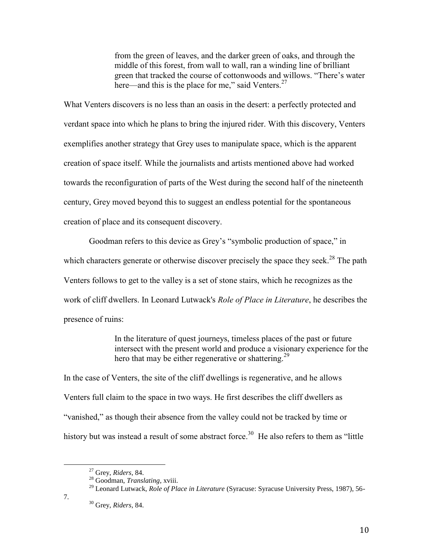from the green of leaves, and the darker green of oaks, and through the middle of this forest, from wall to wall, ran a winding line of brilliant green that tracked the course of cottonwoods and willows. "There"s water here—and this is the place for me," said Venters.<sup>27</sup>

What Venters discovers is no less than an oasis in the desert: a perfectly protected and verdant space into which he plans to bring the injured rider. With this discovery, Venters exemplifies another strategy that Grey uses to manipulate space, which is the apparent creation of space itself. While the journalists and artists mentioned above had worked towards the reconfiguration of parts of the West during the second half of the nineteenth century, Grey moved beyond this to suggest an endless potential for the spontaneous creation of place and its consequent discovery.

Goodman refers to this device as Grey"s "symbolic production of space," in which characters generate or otherwise discover precisely the space they seek.<sup>28</sup> The path Venters follows to get to the valley is a set of stone stairs, which he recognizes as the work of cliff dwellers. In Leonard Lutwack's *Role of Place in Literature*, he describes the presence of ruins:

> In the literature of quest journeys, timeless places of the past or future intersect with the present world and produce a visionary experience for the hero that may be either regenerative or shattering.<sup>29</sup>

In the case of Venters, the site of the cliff dwellings is regenerative, and he allows Venters full claim to the space in two ways. He first describes the cliff dwellers as "vanished," as though their absence from the valley could not be tracked by time or history but was instead a result of some abstract force.<sup>30</sup> He also refers to them as "little"

7.

<sup>27</sup> Grey, *Riders*, 84.

<sup>28</sup> Goodman, *Translating*, xviii.

<sup>&</sup>lt;sup>29</sup> Leonard Lutwack, *Role of Place in Literature* (Syracuse: Syracuse University Press, 1987), 56-

<sup>30</sup> Grey, *Riders*, 84.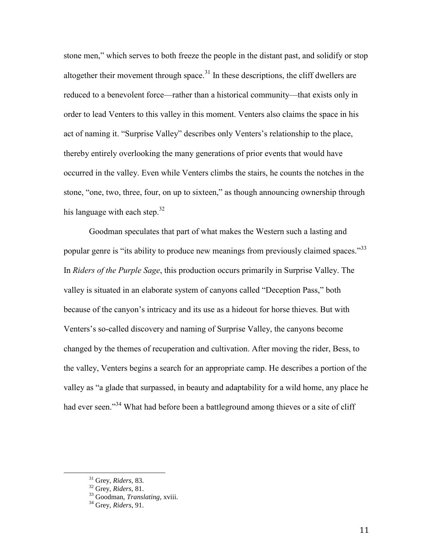stone men," which serves to both freeze the people in the distant past, and solidify or stop altogether their movement through space.<sup>31</sup> In these descriptions, the cliff dwellers are reduced to a benevolent force—rather than a historical community—that exists only in order to lead Venters to this valley in this moment. Venters also claims the space in his act of naming it. "Surprise Valley" describes only Venters"s relationship to the place, thereby entirely overlooking the many generations of prior events that would have occurred in the valley. Even while Venters climbs the stairs, he counts the notches in the stone, "one, two, three, four, on up to sixteen," as though announcing ownership through his language with each step.<sup>32</sup>

Goodman speculates that part of what makes the Western such a lasting and popular genre is "its ability to produce new meanings from previously claimed spaces."<sup>33</sup> In *Riders of the Purple Sage*, this production occurs primarily in Surprise Valley. The valley is situated in an elaborate system of canyons called "Deception Pass," both because of the canyon"s intricacy and its use as a hideout for horse thieves. But with Venters"s so-called discovery and naming of Surprise Valley, the canyons become changed by the themes of recuperation and cultivation. After moving the rider, Bess, to the valley, Venters begins a search for an appropriate camp. He describes a portion of the valley as "a glade that surpassed, in beauty and adaptability for a wild home, any place he had ever seen."<sup>34</sup> What had before been a battleground among thieves or a site of cliff

<sup>31</sup> Grey, *Riders,* 83.

<sup>32</sup> Grey, *Riders,* 81.

<sup>33</sup> Goodman, *Translating*, xviii.

<sup>34</sup> Grey, *Riders*, 91.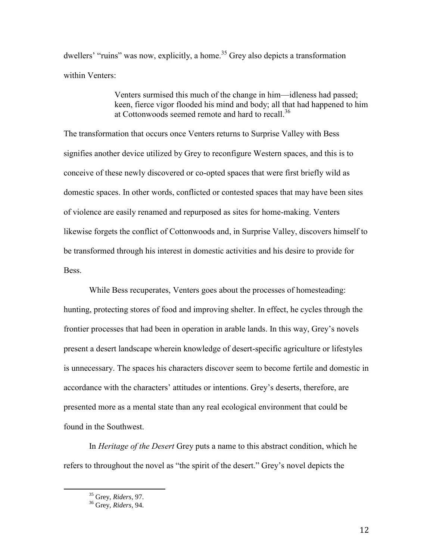dwellers' "ruins" was now, explicitly, a home.<sup>35</sup> Grey also depicts a transformation within Venters:

> Venters surmised this much of the change in him—idleness had passed; keen, fierce vigor flooded his mind and body; all that had happened to him at Cottonwoods seemed remote and hard to recall.<sup>36</sup>

The transformation that occurs once Venters returns to Surprise Valley with Bess signifies another device utilized by Grey to reconfigure Western spaces, and this is to conceive of these newly discovered or co-opted spaces that were first briefly wild as domestic spaces. In other words, conflicted or contested spaces that may have been sites of violence are easily renamed and repurposed as sites for home-making. Venters likewise forgets the conflict of Cottonwoods and, in Surprise Valley, discovers himself to be transformed through his interest in domestic activities and his desire to provide for Bess.

While Bess recuperates, Venters goes about the processes of homesteading: hunting, protecting stores of food and improving shelter. In effect, he cycles through the frontier processes that had been in operation in arable lands. In this way, Grey"s novels present a desert landscape wherein knowledge of desert-specific agriculture or lifestyles is unnecessary. The spaces his characters discover seem to become fertile and domestic in accordance with the characters' attitudes or intentions. Grey's deserts, therefore, are presented more as a mental state than any real ecological environment that could be found in the Southwest.

In *Heritage of the Desert* Grey puts a name to this abstract condition, which he refers to throughout the novel as "the spirit of the desert." Grey"s novel depicts the

<sup>35</sup> Grey, *Riders*, 97.

<sup>36</sup> Grey, *Riders*, 94.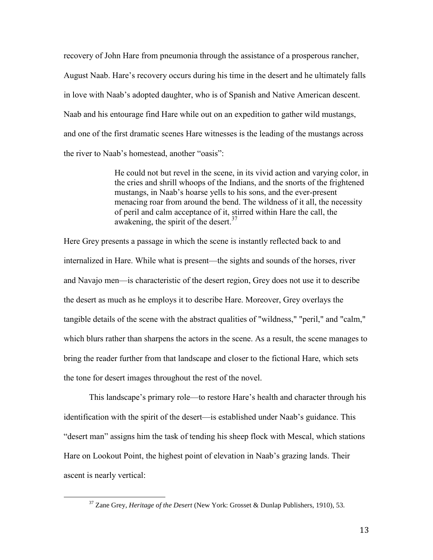recovery of John Hare from pneumonia through the assistance of a prosperous rancher, August Naab. Hare"s recovery occurs during his time in the desert and he ultimately falls in love with Naab"s adopted daughter, who is of Spanish and Native American descent. Naab and his entourage find Hare while out on an expedition to gather wild mustangs, and one of the first dramatic scenes Hare witnesses is the leading of the mustangs across the river to Naab"s homestead, another "oasis":

> He could not but revel in the scene, in its vivid action and varying color, in the cries and shrill whoops of the Indians, and the snorts of the frightened mustangs, in Naab"s hoarse yells to his sons, and the ever-present menacing roar from around the bend. The wildness of it all, the necessity of peril and calm acceptance of it, stirred within Hare the call, the awakening, the spirit of the desert.<sup>37</sup>

Here Grey presents a passage in which the scene is instantly reflected back to and internalized in Hare. While what is present—the sights and sounds of the horses, river and Navajo men—is characteristic of the desert region, Grey does not use it to describe the desert as much as he employs it to describe Hare. Moreover, Grey overlays the tangible details of the scene with the abstract qualities of "wildness," "peril," and "calm," which blurs rather than sharpens the actors in the scene. As a result, the scene manages to bring the reader further from that landscape and closer to the fictional Hare, which sets the tone for desert images throughout the rest of the novel.

This landscape"s primary role—to restore Hare"s health and character through his identification with the spirit of the desert—is established under Naab"s guidance. This "desert man" assigns him the task of tending his sheep flock with Mescal, which stations Hare on Lookout Point, the highest point of elevation in Naab"s grazing lands. Their ascent is nearly vertical:

<sup>37</sup> Zane Grey, *Heritage of the Desert* (New York: Grosset & Dunlap Publishers, 1910), 53.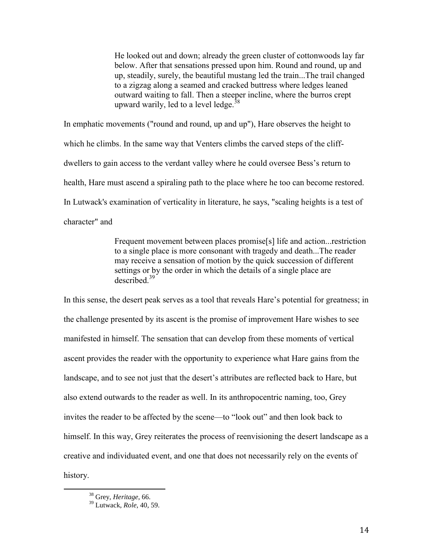He looked out and down; already the green cluster of cottonwoods lay far below. After that sensations pressed upon him. Round and round, up and up, steadily, surely, the beautiful mustang led the train...The trail changed to a zigzag along a seamed and cracked buttress where ledges leaned outward waiting to fall. Then a steeper incline, where the burros crept upward warily, led to a level ledge.<sup>38</sup>

In emphatic movements ("round and round, up and up"), Hare observes the height to which he climbs. In the same way that Venters climbs the carved steps of the cliffdwellers to gain access to the verdant valley where he could oversee Bess's return to health, Hare must ascend a spiraling path to the place where he too can become restored. In Lutwack's examination of verticality in literature, he says, "scaling heights is a test of character" and

> Frequent movement between places promise[s] life and action...restriction to a single place is more consonant with tragedy and death...The reader may receive a sensation of motion by the quick succession of different settings or by the order in which the details of a single place are described. 39

In this sense, the desert peak serves as a tool that reveals Hare's potential for greatness; in the challenge presented by its ascent is the promise of improvement Hare wishes to see manifested in himself. The sensation that can develop from these moments of vertical ascent provides the reader with the opportunity to experience what Hare gains from the landscape, and to see not just that the desert's attributes are reflected back to Hare, but also extend outwards to the reader as well. In its anthropocentric naming, too, Grey invites the reader to be affected by the scene—to "look out" and then look back to himself. In this way, Grey reiterates the process of reenvisioning the desert landscape as a creative and individuated event, and one that does not necessarily rely on the events of history.

<sup>38</sup> Grey, *Heritage*, 66.

<sup>39</sup> Lutwack, *Role*, 40, 59.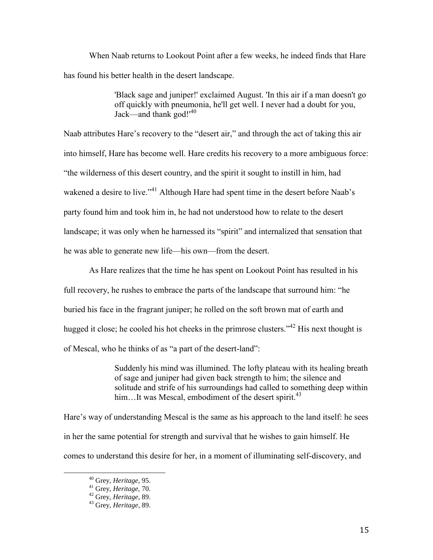When Naab returns to Lookout Point after a few weeks, he indeed finds that Hare has found his better health in the desert landscape.

> 'Black sage and juniper!' exclaimed August. 'In this air if a man doesn't go off quickly with pneumonia, he'll get well. I never had a doubt for you, Jack—and thank god!'<sup>40</sup>

Naab attributes Hare's recovery to the "desert air," and through the act of taking this air into himself, Hare has become well. Hare credits his recovery to a more ambiguous force: "the wilderness of this desert country, and the spirit it sought to instill in him, had wakened a desire to live."<sup>41</sup> Although Hare had spent time in the desert before Naab's party found him and took him in, he had not understood how to relate to the desert landscape; it was only when he harnessed its "spirit" and internalized that sensation that he was able to generate new life—his own—from the desert.

As Hare realizes that the time he has spent on Lookout Point has resulted in his full recovery, he rushes to embrace the parts of the landscape that surround him: "he buried his face in the fragrant juniper; he rolled on the soft brown mat of earth and hugged it close; he cooled his hot cheeks in the primrose clusters.<sup>342</sup> His next thought is of Mescal, who he thinks of as "a part of the desert-land":

> Suddenly his mind was illumined. The lofty plateau with its healing breath of sage and juniper had given back strength to him; the silence and solitude and strife of his surroundings had called to something deep within him...It was Mescal, embodiment of the desert spirit.<sup>43</sup>

Hare's way of understanding Mescal is the same as his approach to the land itself: he sees in her the same potential for strength and survival that he wishes to gain himself. He comes to understand this desire for her, in a moment of illuminating self-discovery, and

<sup>40</sup> Grey, *Heritage*, 95.

<sup>41</sup> Grey, *Heritage,* 70.

<sup>42</sup> Grey, *Heritage*, 89.

<sup>43</sup> Grey, *Heritage*, 89.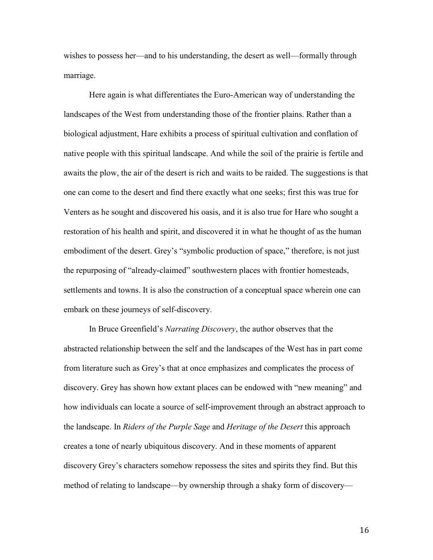wishes to possess her—and to his understanding, the desert as well—formally through marriage.

Here again is what differentiates the Euro-American way of understanding the landscapes of the West from understanding those of the frontier plains. Rather than a biological adjustment, Hare exhibits a process of spiritual cultivation and conflation of native people with this spiritual landscape. And while the soil of the prairie is fertile and awaits the plow, the air of the desert is rich and waits to be raided. The suggestions is that one can come to the desert and find there exactly what one seeks; first this was true for Venters as he sought and discovered his oasis, and it is also true for Hare who sought a restoration of his health and spirit, and discovered it in what he thought of as the human embodiment of the desert. Grey's "symbolic production of space," therefore, is not just the repurposing of "already-claimed" southwestern places with frontier homesteads, settlements and towns. It is also the construction of a conceptual space wherein one can embark on these journeys of self-discovery.

In Bruce Greenfield"s *Narrating Discovery*, the author observes that the abstracted relationship between the self and the landscapes of the West has in part come from literature such as Grey"s that at once emphasizes and complicates the process of discovery. Grey has shown how extant places can be endowed with "new meaning" and how individuals can locate a source of self-improvement through an abstract approach to the landscape. In *Riders of the Purple Sage* and *Heritage of the Desert* this approach creates a tone of nearly ubiquitous discovery. And in these moments of apparent discovery Grey"s characters somehow repossess the sites and spirits they find. But this method of relating to landscape—by ownership through a shaky form of discovery—

16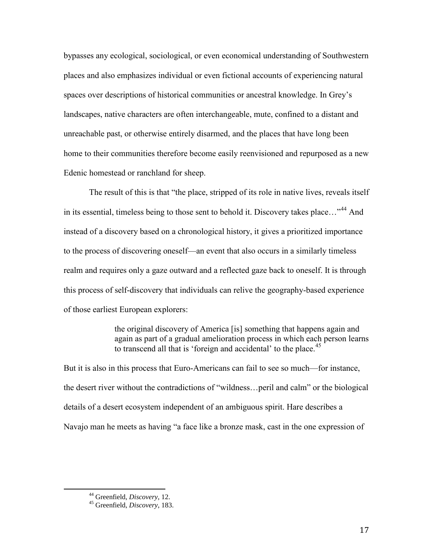bypasses any ecological, sociological, or even economical understanding of Southwestern places and also emphasizes individual or even fictional accounts of experiencing natural spaces over descriptions of historical communities or ancestral knowledge. In Grey"s landscapes, native characters are often interchangeable, mute, confined to a distant and unreachable past, or otherwise entirely disarmed, and the places that have long been home to their communities therefore become easily reenvisioned and repurposed as a new Edenic homestead or ranchland for sheep.

The result of this is that "the place, stripped of its role in native lives, reveals itself in its essential, timeless being to those sent to behold it. Discovery takes place..."<sup>44</sup> And instead of a discovery based on a chronological history, it gives a prioritized importance to the process of discovering oneself—an event that also occurs in a similarly timeless realm and requires only a gaze outward and a reflected gaze back to oneself. It is through this process of self-discovery that individuals can relive the geography-based experience of those earliest European explorers:

> the original discovery of America [is] something that happens again and again as part of a gradual amelioration process in which each person learns to transcend all that is 'foreign and accidental' to the place.<sup>45</sup>

But it is also in this process that Euro-Americans can fail to see so much—for instance, the desert river without the contradictions of "wildness…peril and calm" or the biological details of a desert ecosystem independent of an ambiguous spirit. Hare describes a Navajo man he meets as having "a face like a bronze mask, cast in the one expression of

<sup>44</sup> Greenfield, *Discovery*, 12.

<sup>45</sup> Greenfield, *Discovery*, 183.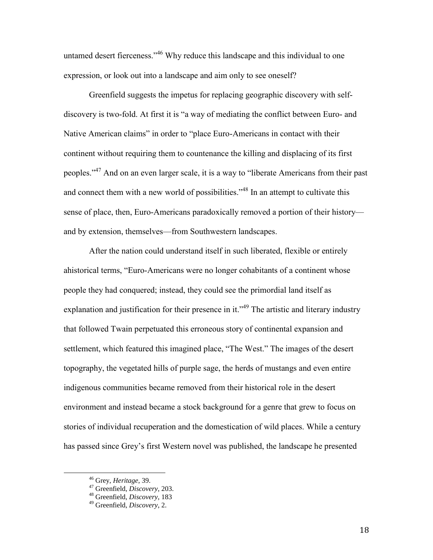untamed desert fierceness."<sup>46</sup> Why reduce this landscape and this individual to one expression, or look out into a landscape and aim only to see oneself?

Greenfield suggests the impetus for replacing geographic discovery with selfdiscovery is two-fold. At first it is "a way of mediating the conflict between Euro- and Native American claims" in order to "place Euro-Americans in contact with their continent without requiring them to countenance the killing and displacing of its first peoples."<sup>47</sup> And on an even larger scale, it is a way to "liberate Americans from their past and connect them with a new world of possibilities."<sup>48</sup> In an attempt to cultivate this sense of place, then, Euro-Americans paradoxically removed a portion of their history and by extension, themselves—from Southwestern landscapes.

After the nation could understand itself in such liberated, flexible or entirely ahistorical terms, "Euro-Americans were no longer cohabitants of a continent whose people they had conquered; instead, they could see the primordial land itself as explanation and justification for their presence in it."<sup>49</sup> The artistic and literary industry that followed Twain perpetuated this erroneous story of continental expansion and settlement, which featured this imagined place, "The West." The images of the desert topography, the vegetated hills of purple sage, the herds of mustangs and even entire indigenous communities became removed from their historical role in the desert environment and instead became a stock background for a genre that grew to focus on stories of individual recuperation and the domestication of wild places. While a century has passed since Grey's first Western novel was published, the landscape he presented

<sup>46</sup> Grey, *Heritage*, 39.

<sup>47</sup> Greenfield, *Discovery*, 203.

<sup>48</sup> Greenfield, *Discovery*, 183

<sup>49</sup> Greenfield, *Discovery*, 2.